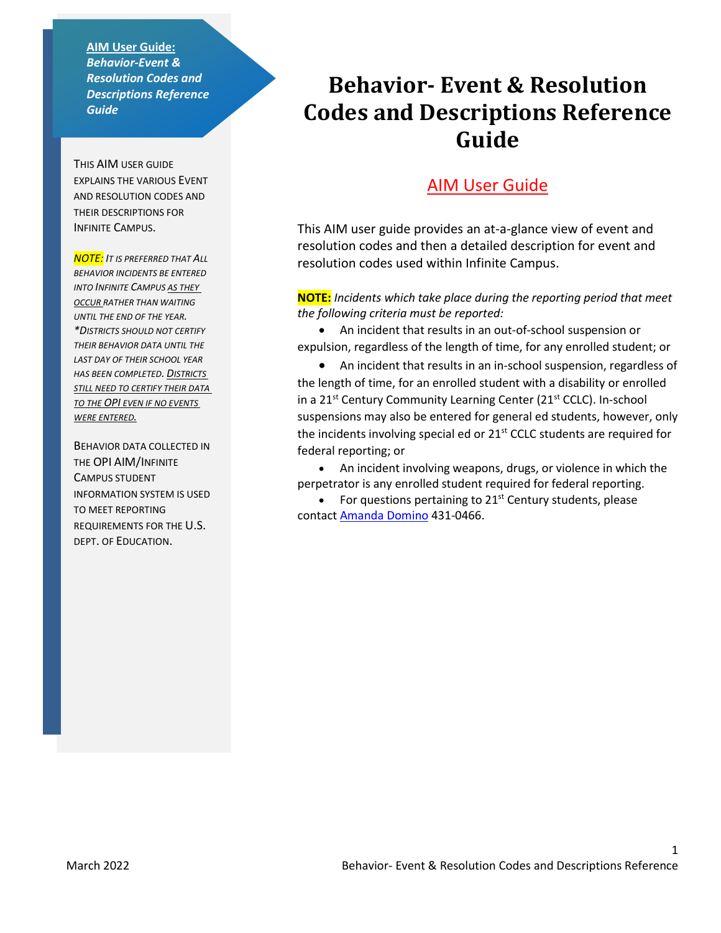**AIM User Guide:** *Behavior-Event & Resolution Codes and Descriptions Reference Guide*

THIS AIM USER GUIDE EXPLAINS THE VARIOUS EVENT AND RESOLUTION CODES AND THEIR DESCRIPTIONS FOR INFINITE CAMPUS.

*NOTE: IT IS PREFERRED THAT ALL BEHAVIOR INCIDENTS BE ENTERED INTO INFINITE CAMPUS AS THEY OCCUR RATHER THAN WAITING UNTIL THE END OF THE YEAR. \*DISTRICTS SHOULD NOT CERTIFY THEIR BEHAVIOR DATA UNTIL THE LAST DAY OF THEIR SCHOOL YEAR HAS BEEN COMPLETED. DISTRICTS STILL NEED TO CERTIFY THEIR DATA TO THE OPI EVEN IF NO EVENTS WERE ENTERED.*

BEHAVIOR DATA COLLECTED IN THE OPI AIM/INFINITE CAMPUS STUDENT INFORMATION SYSTEM IS USED TO MEET REPORTING REQUIREMENTS FOR THE U.S. DEPT. OF EDUCATION.

# **Behavior- Event & Resolution Codes and Descriptions Reference Guide**

# AIM User Guide

This AIM user guide provides an at-a-glance view of event and resolution codes and then a detailed description for event and resolution codes used within Infinite Campus.

#### **NOTE:** *Incidents which take place during the reporting period that meet the following criteria must be reported:*

• An incident that results in an out-of-school suspension or expulsion, regardless of the length of time, for any enrolled student; or

• An incident that results in an in-school suspension, regardless of the length of time, for an enrolled student with a disability or enrolled in a 21<sup>st</sup> Century Community Learning Center (21<sup>st</sup> CCLC). In-school suspensions may also be entered for general ed students, however, only the incidents involving special ed or  $21<sup>st</sup>$  CCLC students are required for federal reporting; or

• An incident involving weapons, drugs, or violence in which the perpetrator is any enrolled student required for federal reporting.

• For questions pertaining to  $21<sup>st</sup>$  Century students, please contact Amand[a Domino](mailto:ADomino@mt.gov) 431-0466.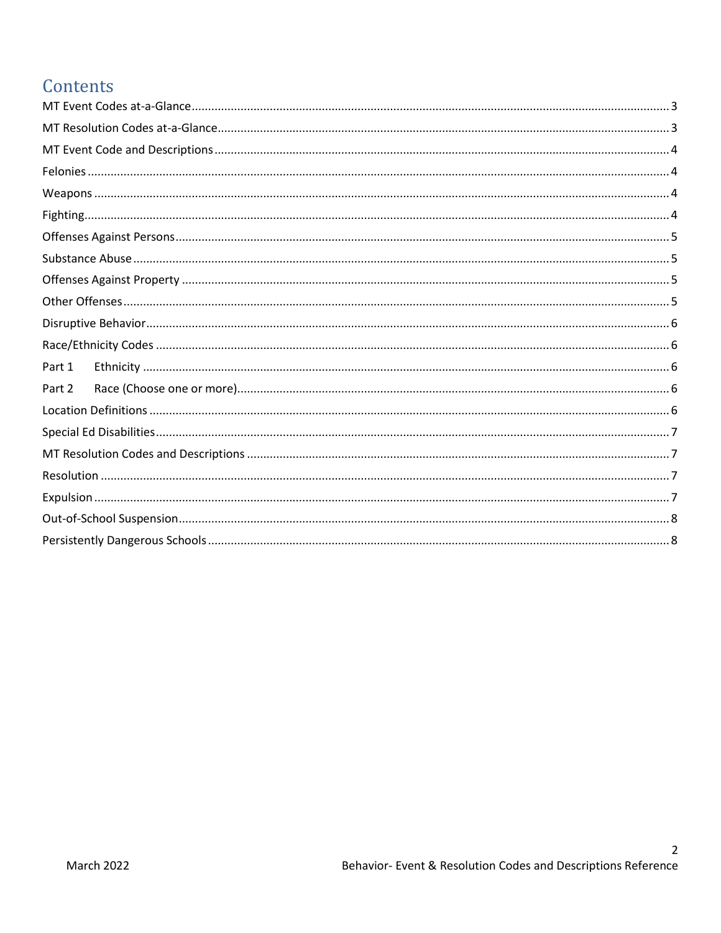# Contents

| ${\sf{Fighting.}}.\hspace*{1cm} \ldots \hspace*{1cm} \ldots \hspace*{1cm} \ldots \hspace*{1cm} \ldots \hspace*{1cm} \ldots \hspace*{1cm} \ldots \hspace*{1cm} \ldots \hspace*{1cm} \ldots \hspace*{1cm} \ldots \hspace*{1cm} \ldots \hspace*{1cm} \ldots \hspace*{1cm} \ldots \hspace*{1cm} \ldots \hspace*{1cm} \ldots \hspace*{1cm} \ldots \hspace*{1cm} \ldots \hspace*{1cm} \ldots \hspace*{1cm} \ldots \hspace*{1cm} \ldots \hspace$ |  |
|-------------------------------------------------------------------------------------------------------------------------------------------------------------------------------------------------------------------------------------------------------------------------------------------------------------------------------------------------------------------------------------------------------------------------------------------|--|
|                                                                                                                                                                                                                                                                                                                                                                                                                                           |  |
|                                                                                                                                                                                                                                                                                                                                                                                                                                           |  |
|                                                                                                                                                                                                                                                                                                                                                                                                                                           |  |
|                                                                                                                                                                                                                                                                                                                                                                                                                                           |  |
|                                                                                                                                                                                                                                                                                                                                                                                                                                           |  |
|                                                                                                                                                                                                                                                                                                                                                                                                                                           |  |
| Part 1                                                                                                                                                                                                                                                                                                                                                                                                                                    |  |
| Part 2                                                                                                                                                                                                                                                                                                                                                                                                                                    |  |
|                                                                                                                                                                                                                                                                                                                                                                                                                                           |  |
|                                                                                                                                                                                                                                                                                                                                                                                                                                           |  |
|                                                                                                                                                                                                                                                                                                                                                                                                                                           |  |
|                                                                                                                                                                                                                                                                                                                                                                                                                                           |  |
|                                                                                                                                                                                                                                                                                                                                                                                                                                           |  |
|                                                                                                                                                                                                                                                                                                                                                                                                                                           |  |
|                                                                                                                                                                                                                                                                                                                                                                                                                                           |  |
|                                                                                                                                                                                                                                                                                                                                                                                                                                           |  |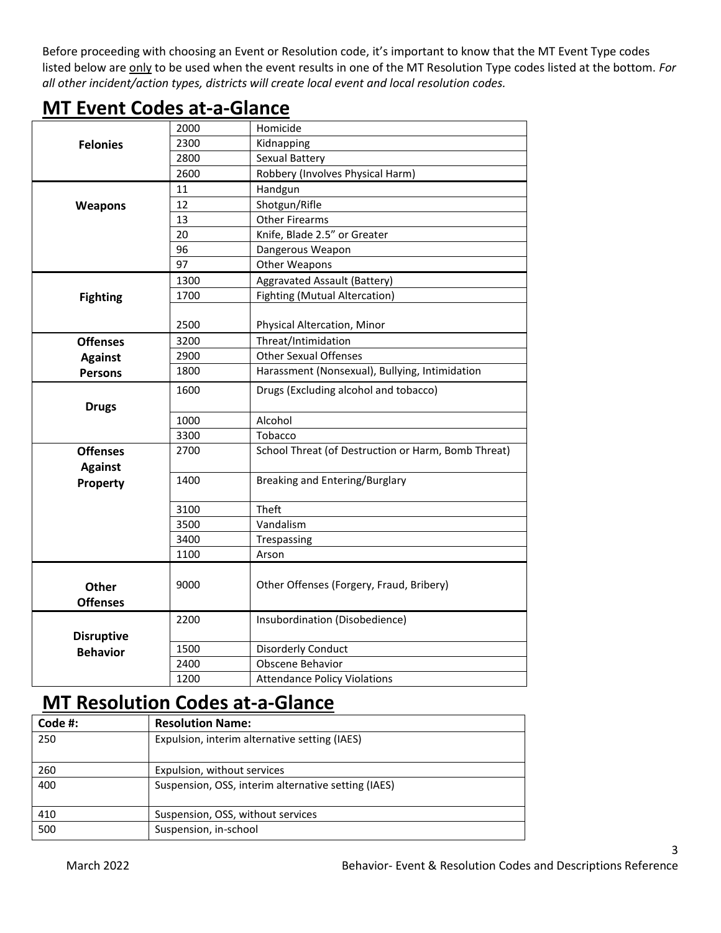Before proceeding with choosing an Event or Resolution code, it's important to know that the MT Event Type codes listed below are only to be used when the event results in one of the MT Resolution Type codes listed at the bottom. *For all other incident/action types, districts will create local event and local resolution codes.*

# <span id="page-2-0"></span>**MT Event Codes at-a-Glance**

|                   | 2000 | Homicide                                            |
|-------------------|------|-----------------------------------------------------|
| <b>Felonies</b>   | 2300 | Kidnapping                                          |
|                   | 2800 | Sexual Battery                                      |
|                   | 2600 | Robbery (Involves Physical Harm)                    |
|                   | 11   | Handgun                                             |
| <b>Weapons</b>    | 12   | Shotgun/Rifle                                       |
|                   | 13   | <b>Other Firearms</b>                               |
|                   | 20   | Knife, Blade 2.5" or Greater                        |
|                   | 96   | Dangerous Weapon                                    |
|                   | 97   | <b>Other Weapons</b>                                |
|                   | 1300 | Aggravated Assault (Battery)                        |
| <b>Fighting</b>   | 1700 | <b>Fighting (Mutual Altercation)</b>                |
|                   |      |                                                     |
|                   | 2500 | Physical Altercation, Minor                         |
| <b>Offenses</b>   | 3200 | Threat/Intimidation                                 |
| <b>Against</b>    | 2900 | <b>Other Sexual Offenses</b>                        |
| <b>Persons</b>    | 1800 | Harassment (Nonsexual), Bullying, Intimidation      |
|                   | 1600 | Drugs (Excluding alcohol and tobacco)               |
| <b>Drugs</b>      |      |                                                     |
|                   | 1000 | Alcohol                                             |
|                   | 3300 | Tobacco                                             |
| <b>Offenses</b>   | 2700 | School Threat (of Destruction or Harm, Bomb Threat) |
| <b>Against</b>    |      |                                                     |
| Property          | 1400 | Breaking and Entering/Burglary                      |
|                   |      |                                                     |
|                   | 3100 | Theft                                               |
|                   | 3500 | Vandalism                                           |
|                   | 3400 | Trespassing                                         |
|                   | 1100 | Arson                                               |
|                   |      |                                                     |
| Other             | 9000 | Other Offenses (Forgery, Fraud, Bribery)            |
| <b>Offenses</b>   |      |                                                     |
|                   | 2200 | Insubordination (Disobedience)                      |
| <b>Disruptive</b> |      |                                                     |
| <b>Behavior</b>   | 1500 | <b>Disorderly Conduct</b>                           |
|                   | 2400 | Obscene Behavior                                    |
|                   | 1200 | <b>Attendance Policy Violations</b>                 |

# <span id="page-2-1"></span>**MT Resolution Codes at-a-Glance**

| Code #: | <b>Resolution Name:</b>                             |
|---------|-----------------------------------------------------|
| 250     | Expulsion, interim alternative setting (IAES)       |
| 260     | Expulsion, without services                         |
| 400     | Suspension, OSS, interim alternative setting (IAES) |
| 410     | Suspension, OSS, without services                   |
| 500     | Suspension, in-school                               |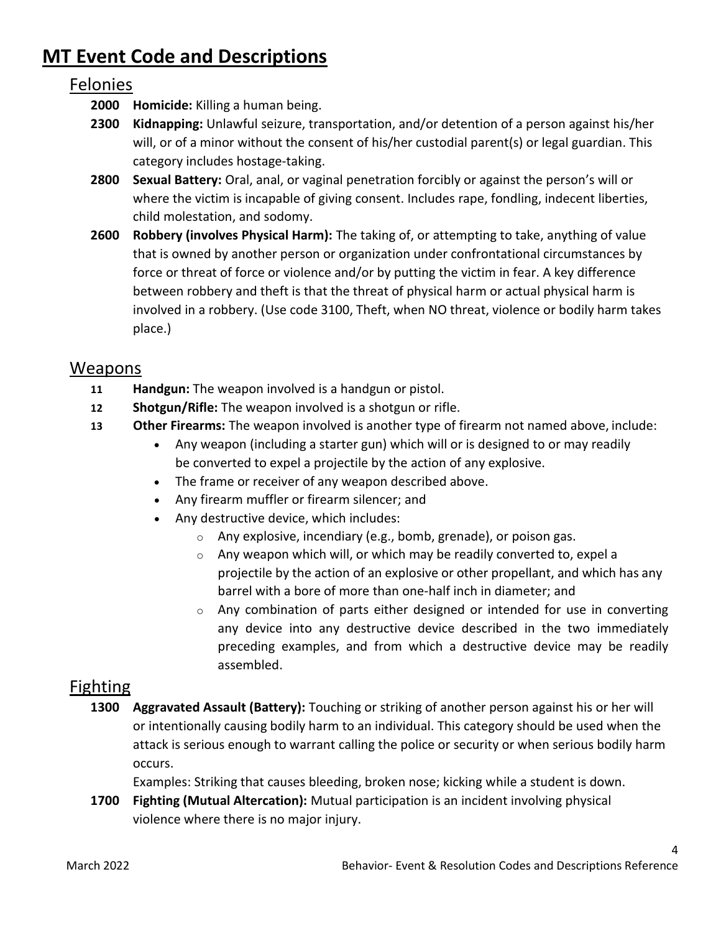# <span id="page-3-1"></span><span id="page-3-0"></span>**MT Event Code and Descriptions**

#### Felonies

- **2000 Homicide:** Killing a human being.
- **2300 Kidnapping:** Unlawful seizure, transportation, and/or detention of a person against his/her will, or of a minor without the consent of his/her custodial parent(s) or legal guardian. This category includes hostage‐taking.
- **2800 Sexual Battery:** Oral, anal, or vaginal penetration forcibly or against the person's will or where the victim is incapable of giving consent. Includes rape, fondling, indecent liberties, child molestation, and sodomy.
- **2600 Robbery (involves Physical Harm):** The taking of, or attempting to take, anything of value that is owned by another person or organization under confrontational circumstances by force or threat of force or violence and/or by putting the victim in fear. A key difference between robbery and theft is that the threat of physical harm or actual physical harm is involved in a robbery. (Use code 3100, Theft, when NO threat, violence or bodily harm takes place.)

### <span id="page-3-2"></span>Weapons

- **11 Handgun:** The weapon involved is a handgun or pistol.
- **12 Shotgun/Rifle:** The weapon involved is a shotgun or rifle.
- **13 Other Firearms:** The weapon involved is another type of firearm not named above, include:
	- Any weapon (including a starter gun) which will or is designed to or may readily be converted to expel a projectile by the action of any explosive.
	- The frame or receiver of any weapon described above.
	- Any firearm muffler or firearm silencer; and
	- Any destructive device, which includes:
		- o Any explosive, incendiary (e.g., bomb, grenade), or poison gas.
		- $\circ$  Any weapon which will, or which may be readily converted to, expel a projectile by the action of an explosive or other propellant, and which has any barrel with a bore of more than one‐half inch in diameter; and
		- $\circ$  Any combination of parts either designed or intended for use in converting any device into any destructive device described in the two immediately preceding examples, and from which a destructive device may be readily assembled.

# <span id="page-3-3"></span>Fighting

**1300 Aggravated Assault (Battery):** Touching or striking of another person against his or her will or intentionally causing bodily harm to an individual. This category should be used when the attack is serious enough to warrant calling the police or security or when serious bodily harm occurs.

Examples: Striking that causes bleeding, broken nose; kicking while a student is down.

**1700 Fighting (Mutual Altercation):** Mutual participation is an incident involving physical violence where there is no major injury.

4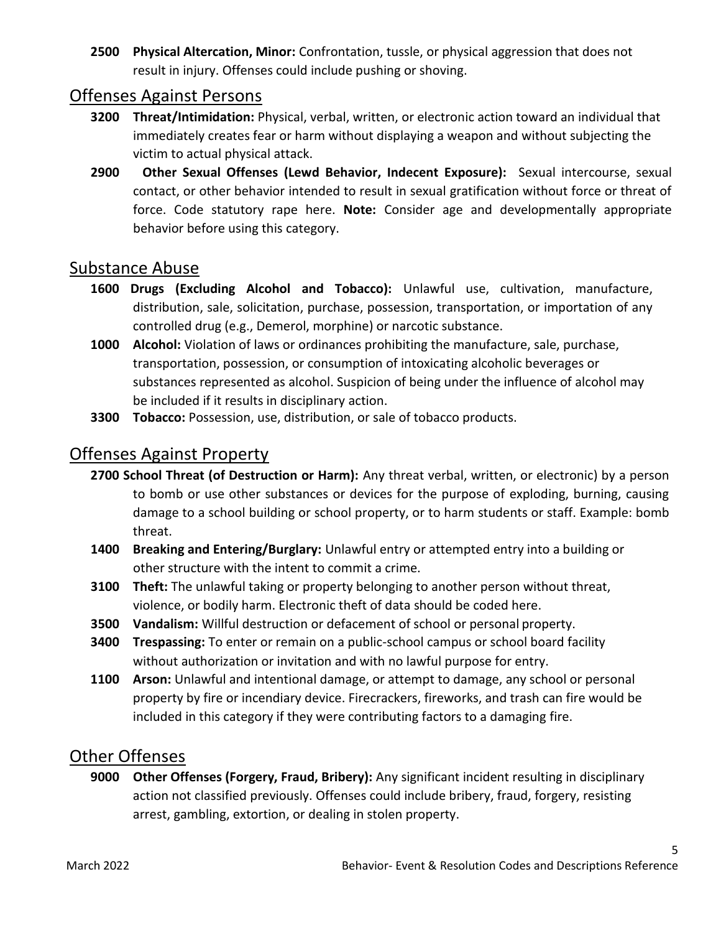**2500 Physical Altercation, Minor:** Confrontation, tussle, or physical aggression that does not result in injury. Offenses could include pushing or shoving.

#### <span id="page-4-0"></span>Offenses Against Persons

- **3200 Threat/Intimidation:** Physical, verbal, written, or electronic action toward an individual that immediately creates fear or harm without displaying a weapon and without subjecting the victim to actual physical attack.
- **2900 Other Sexual Offenses (Lewd Behavior, Indecent Exposure):** Sexual intercourse, sexual contact, or other behavior intended to result in sexual gratification without force or threat of force. Code statutory rape here. **Note:** Consider age and developmentally appropriate behavior before using this category.

#### <span id="page-4-1"></span>Substance Abuse

- **1600 Drugs (Excluding Alcohol and Tobacco):** Unlawful use, cultivation, manufacture, distribution, sale, solicitation, purchase, possession, transportation, or importation of any controlled drug (e.g., Demerol, morphine) or narcotic substance.
- **1000 Alcohol:** Violation of laws or ordinances prohibiting the manufacture, sale, purchase, transportation, possession, or consumption of intoxicating alcoholic beverages or substances represented as alcohol. Suspicion of being under the influence of alcohol may be included if it results in disciplinary action.
- **3300 Tobacco:** Possession, use, distribution, or sale of tobacco products.

#### <span id="page-4-2"></span>Offenses Against Property

- **2700 School Threat (of Destruction or Harm):** Any threat verbal, written, or electronic) by a person to bomb or use other substances or devices for the purpose of exploding, burning, causing damage to a school building or school property, or to harm students or staff. Example: bomb threat.
- **1400 Breaking and Entering/Burglary:** Unlawful entry or attempted entry into a building or other structure with the intent to commit a crime.
- **3100 Theft:** The unlawful taking or property belonging to another person without threat, violence, or bodily harm. Electronic theft of data should be coded here.
- **3500 Vandalism:** Willful destruction or defacement of school or personal property.
- **3400 Trespassing:** To enter or remain on a public-school campus or school board facility without authorization or invitation and with no lawful purpose for entry.
- **1100 Arson:** Unlawful and intentional damage, or attempt to damage, any school or personal property by fire or incendiary device. Firecrackers, fireworks, and trash can fire would be included in this category if they were contributing factors to a damaging fire.

### <span id="page-4-3"></span>Other Offenses

**9000 Other Offenses (Forgery, Fraud, Bribery):** Any significant incident resulting in disciplinary action not classified previously. Offenses could include bribery, fraud, forgery, resisting arrest, gambling, extortion, or dealing in stolen property.

5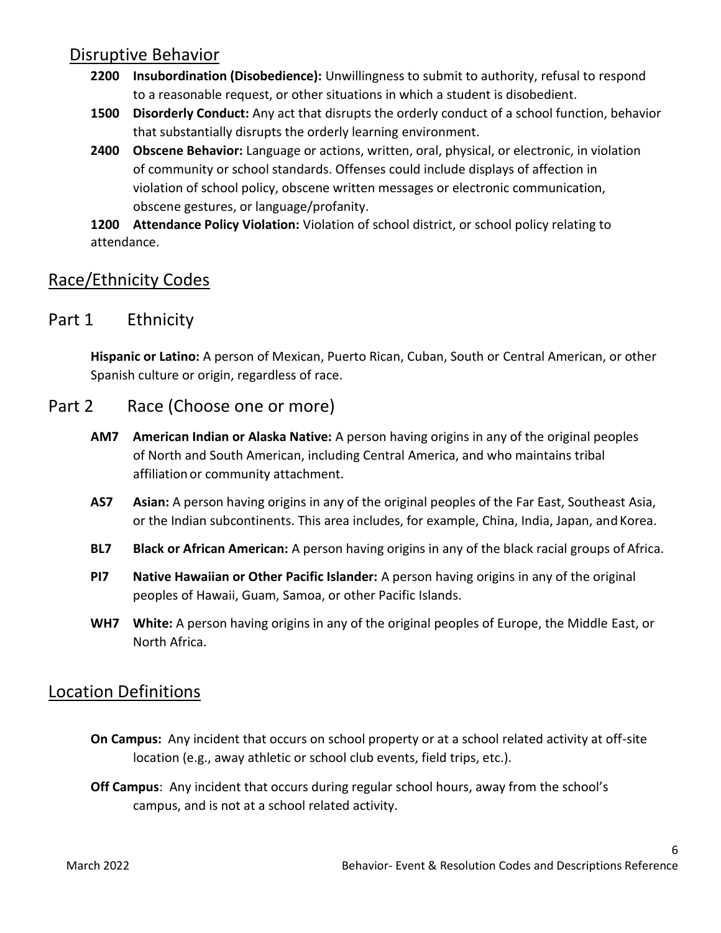#### <span id="page-5-0"></span>Disruptive Behavior

- **2200 Insubordination (Disobedience):** Unwillingness to submit to authority, refusal to respond to a reasonable request, or other situations in which a student is disobedient.
- **1500 Disorderly Conduct:** Any act that disrupts the orderly conduct of a school function, behavior that substantially disrupts the orderly learning environment.
- **2400 Obscene Behavior:** Language or actions, written, oral, physical, or electronic, in violation of community or school standards. Offenses could include displays of affection in violation of school policy, obscene written messages or electronic communication, obscene gestures, or language/profanity.
- **1200 Attendance Policy Violation:** Violation of school district, or school policy relating to attendance.

# <span id="page-5-1"></span>Race/Ethnicity Codes

### <span id="page-5-2"></span>Part 1 Ethnicity

**Hispanic or Latino:** A person of Mexican, Puerto Rican, Cuban, South or Central American, or other Spanish culture or origin, regardless of race.

- <span id="page-5-3"></span>Part 2 Race (Choose one or more)
	- **AM7 American Indian or Alaska Native:** A person having origins in any of the original peoples of North and South American, including Central America, and who maintains tribal affiliation or community attachment.
	- **AS7 Asian:** A person having origins in any of the original peoples of the Far East, Southeast Asia, or the Indian subcontinents. This area includes, for example, China, India, Japan, and Korea.
	- **BL7 Black or African American:** A person having origins in any of the black racial groups of Africa.
	- **PI7 Native Hawaiian or Other Pacific Islander:** A person having origins in any of the original peoples of Hawaii, Guam, Samoa, or other Pacific Islands.
	- **WH7 White:** A person having origins in any of the original peoples of Europe, the Middle East, or North Africa.

# <span id="page-5-4"></span>Location Definitions

- **On Campus:** Any incident that occurs on school property or at a school related activity at off-site location (e.g., away athletic or school club events, field trips, etc.).
- **Off Campus**: Any incident that occurs during regular school hours, away from the school's campus, and is not at a school related activity.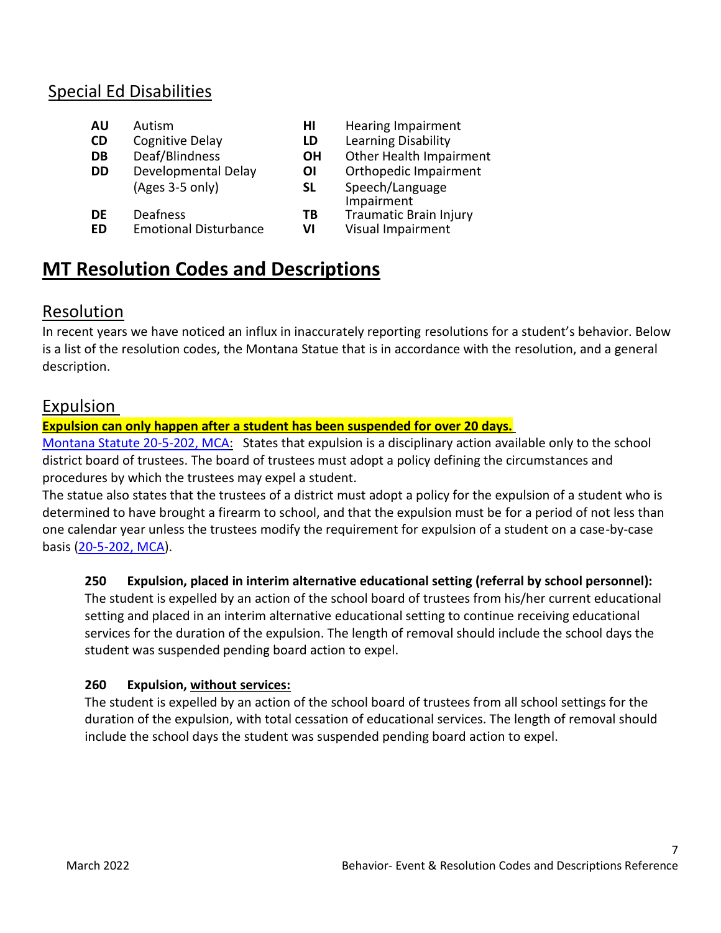# <span id="page-6-0"></span>Special Ed Disabilities

- 
- 
- **DD** Developmental Delay **OI** Orthopedic Impairment
- (Ages 3‐5 only) **SL** Speech/Language
- **DE** Deafness **TB** Traumatic Brain Injury
- **ED** Emotional Disturbance **VI** Visual Impairment
- **AU** Autism **HI** Hearing Impairment
- **CD** Cognitive Delay **LD** Learning Disability
- **DB** Deaf/Blindness **OH** Other Health Impairment
	-
	-
	- Impairment
	-

# <span id="page-6-1"></span>**MT Resolution Codes and Descriptions**

# <span id="page-6-2"></span>Resolution

In recent years we have noticed an influx in inaccurately reporting resolutions for a student's behavior. Below is a list of the resolution codes, the Montana Statue that is in accordance with the resolution, and a general description.

# <span id="page-6-3"></span>Expulsion

#### **Expulsion can only happen after a student has been suspended for over 20 days.**

[Montana Statute 20-5-202, MCA:](https://leg.mt.gov/bills/mca/20/5/20-5-202.htm) States that expulsion is a disciplinary action available only to the school district board of trustees. The board of trustees must adopt a policy defining the circumstances and procedures by which the trustees may expel a student.

The statue also states that the trustees of a district must adopt a policy for the expulsion of a student who is determined to have brought a firearm to school, and that the expulsion must be for a period of not less than one calendar year unless the trustees modify the requirement for expulsion of a student on a case-by-case basis [\(20-5-202, MCA\)](https://leg.mt.gov/bills/mca/20/5/20-5-202.htm).

#### **250 Expulsion, placed in interim alternative educational setting (referral by school personnel):**

The student is expelled by an action of the school board of trustees from his/her current educational setting and placed in an interim alternative educational setting to continue receiving educational services for the duration of the expulsion. The length of removal should include the school days the student was suspended pending board action to expel.

#### **260 Expulsion, without services:**

The student is expelled by an action of the school board of trustees from all school settings for the duration of the expulsion, with total cessation of educational services. The length of removal should include the school days the student was suspended pending board action to expel.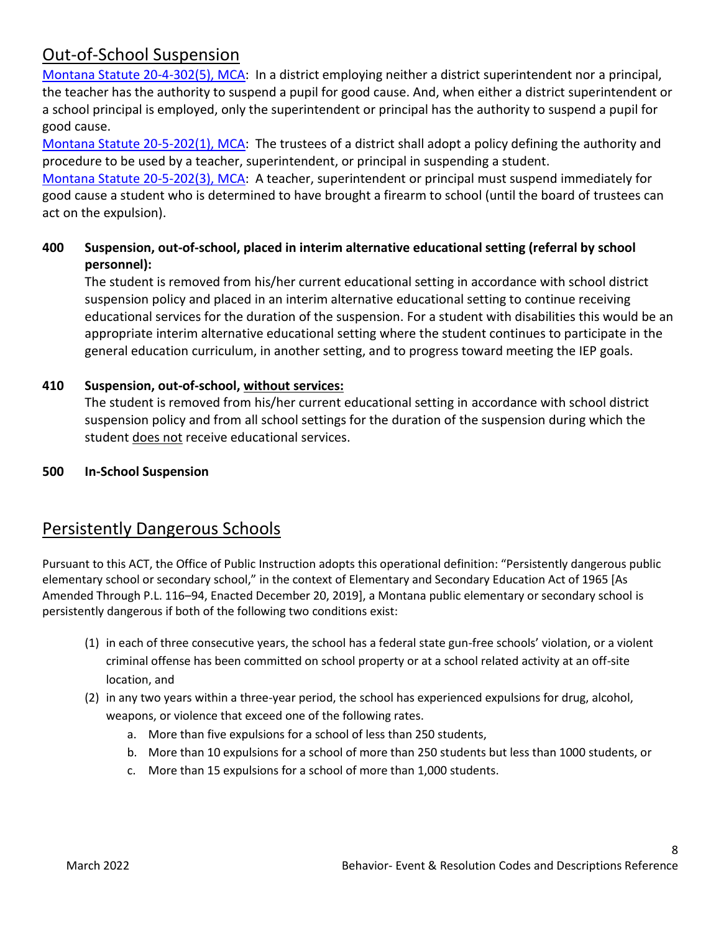# <span id="page-7-0"></span>Out-of-School Suspension

[Montana Statute 20-4-302\(5\), MCA:](https://leg.mt.gov/bills/mca/title_0200/chapter_0040/part_0030/section_0020/0200-0040-0030-0020.html) In a district employing neither a district superintendent nor a principal, the teacher has the authority to suspend a pupil for good cause. And, when either a district superintendent or a school principal is employed, only the superintendent or principal has the authority to suspend a pupil for good cause.

[Montana Statute 20-5-202\(1\), MCA:](https://leg.mt.gov/bills/mca/20/5/20-5-202.htm) The trustees of a district shall adopt a policy defining the authority and procedure to be used by a teacher, superintendent, or principal in suspending a student.

[Montana Statute 20-5-202\(3\), MCA:](https://leg.mt.gov/bills/mca/20/5/20-5-202.htm) A teacher, superintendent or principal must suspend immediately for good cause a student who is determined to have brought a firearm to school (until the board of trustees can act on the expulsion).

#### **400 Suspension, out-of-school, placed in interim alternative educational setting (referral by school personnel):**

The student is removed from his/her current educational setting in accordance with school district suspension policy and placed in an interim alternative educational setting to continue receiving educational services for the duration of the suspension. For a student with disabilities this would be an appropriate interim alternative educational setting where the student continues to participate in the general education curriculum, in another setting, and to progress toward meeting the IEP goals.

#### **410 Suspension, out-of-school, without services:**

The student is removed from his/her current educational setting in accordance with school district suspension policy and from all school settings for the duration of the suspension during which the student does not receive educational services.

**500 In-School Suspension**

# <span id="page-7-1"></span>Persistently Dangerous Schools

Pursuant to this ACT, the Office of Public Instruction adopts this operational definition: "Persistently dangerous public elementary school or secondary school," in the context of Elementary and Secondary Education Act of 1965 [As Amended Through P.L. 116–94, Enacted December 20, 2019], a Montana public elementary or secondary school is persistently dangerous if both of the following two conditions exist:

- (1) in each of three consecutive years, the school has a federal state gun-free schools' violation, or a violent criminal offense has been committed on school property or at a school related activity at an off-site location, and
- (2) in any two years within a three-year period, the school has experienced expulsions for drug, alcohol, weapons, or violence that exceed one of the following rates.
	- a. More than five expulsions for a school of less than 250 students,
	- b. More than 10 expulsions for a school of more than 250 students but less than 1000 students, or
	- c. More than 15 expulsions for a school of more than 1,000 students.